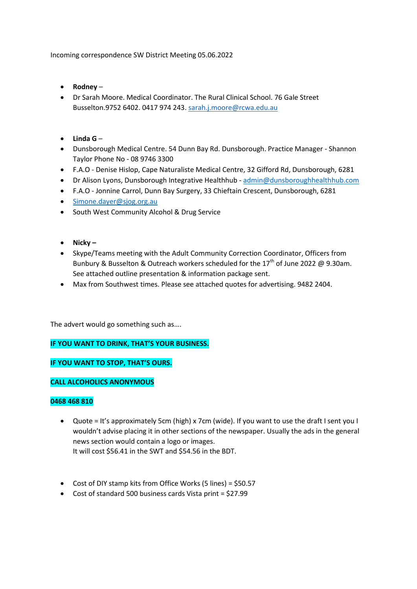Incoming correspondence SW District Meeting 05.06.2022

- **Rodney** –
- Dr Sarah Moore. Medical Coordinator. The Rural Clinical School. 76 Gale Street Busselton.9752 6402. 0417 974 243. [sarah.j.moore@rcwa.edu.au](mailto:sarah.j.moore@rcwa.edu.au)
- **Linda G** –
- Dunsborough Medical Centre. 54 Dunn Bay Rd. Dunsborough. Practice Manager Shannon Taylor Phone No - 08 9746 3300
- F.A.O Denise Hislop, Cape Naturaliste Medical Centre, 32 Gifford Rd, Dunsborough, 6281
- Dr Alison Lyons, Dunsborough Integrative Healthhub [admin@dunsboroughhealthhub.com](mailto:admin@dunsboroughhealthhub.com)
- F.A.O Jonnine Carrol, Dunn Bay Surgery, 33 Chieftain Crescent, Dunsborough, 6281
- [Simone.dayer@sjog.org.au](mailto:Simone.dayer@sjog.org.au)
- South West Community Alcohol & Drug Service
- **Nicky –**
- Skype/Teams meeting with the Adult Community Correction Coordinator, Officers from Bunbury & Busselton & Outreach workers scheduled for the 17<sup>th</sup> of June 2022 @ 9.30am. See attached outline presentation & information package sent.
- Max from Southwest times. Please see attached quotes for advertising. 9482 2404.

The advert would go something such as….

**IF YOU WANT TO DRINK, THAT'S YOUR BUSINESS.**

**IF YOU WANT TO STOP, THAT'S OURS.**

## **CALL ALCOHOLICS ANONYMOUS**

## **0468 468 810**

- Quote = It's approximately 5cm (high) x 7cm (wide). If you want to use the draft I sent you I wouldn't advise placing it in other sections of the newspaper. Usually the ads in the general news section would contain a logo or images. It will cost \$56.41 in the SWT and \$54.56 in the BDT.
- Cost of DIY stamp kits from Office Works (5 lines) = \$50.57
- Cost of standard 500 business cards Vista print = \$27.99